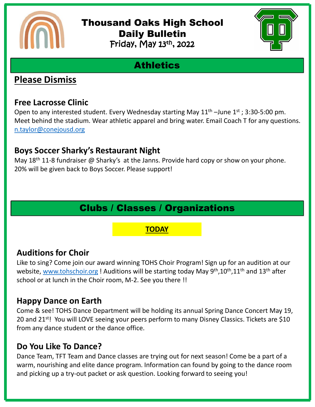

#### Thousand Oaks High School Daily Bulletin Friday, May 13th, 2022



# **Athletics**

## **Please Dismiss**

#### **Free Lacrosse Clinic**

Open to any interested student. Every Wednesday starting May  $11<sup>th</sup>$  –June  $1<sup>st</sup>$ ; 3:30-5:00 pm. Meet behind the stadium. Wear athletic apparel and bring water. Email Coach T for any questions. [n.taylor@conejousd.org](mailto:n.taylor@conejousd.org)

#### **Boys Soccer Sharky's Restaurant Night**

May  $18<sup>th</sup>$  11-8 fundraiser @ Sharky's at the Janns. Provide hard copy or show on your phone. 20% will be given back to Boys Soccer. Please support!

# Clubs / Classes / Organizations

#### **TODAY**

### **Auditions for Choir**

Like to sing? Come join our award winning TOHS Choir Program! Sign up for an audition at our website, [www.tohschoir.org](http://www.tohschoir.org/) ! Auditions will be starting today May 9<sup>th</sup>,10<sup>th</sup>,11<sup>th</sup> and 13<sup>th</sup> after school or at lunch in the Choir room, M-2. See you there !!

### **Happy Dance on Earth**

Come & see! TOHS Dance Department will be holding its annual Spring Dance Concert May 19, 20 and 21<sup>st</sup>! You will LOVE seeing your peers perform to many Disney Classics. Tickets are \$10 from any dance student or the dance office.

#### **Do You Like To Dance?**

Dance Team, TFT Team and Dance classes are trying out for next season! Come be a part of a warm, nourishing and elite dance program. Information can found by going to the dance room and picking up a try-out packet or ask question. Looking forward to seeing you!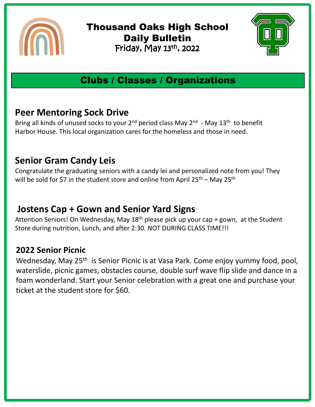

Thousand Oaks High School Daily Bulletin Friday, May 13<sup>th</sup>, 2022



# Clubs / Classes / Organizations

#### **Peer Mentoring Sock Drive**

Bring all kinds of unused socks to your  $2^{nd}$  period class May  $2^{nd}$  - May  $13^{th}$  to benefit Harbor House. This local organization cares for the homeless and those in need.

## **Senior Gram Candy Leis**

Congratulate the graduating seniors with a candy lei and personalized note from you! They will be sold for \$7 in the student store and online from April  $25^{th}$  – May  $25^{th}$ 

## **Jostens Cap + Gown and Senior Yard Signs**

Attention Seniors! On Wednesday, May  $18<sup>th</sup>$  please pick up your cap + gown, at the Student Store during nutrition, Lunch, and after 2:30. NOT DURING CLASS TIME!!!

#### **2022 Senior Picnic**

Wednesday, May 25<sup>th</sup> is Senior Picnic is at Vasa Park. Come enjoy yummy food, pool, waterslide, picnic games, obstacles course, double surf wave flip slide and dance in a foam wonderland. Start your Senior celebration with a great one and purchase your ticket at the student store for \$60.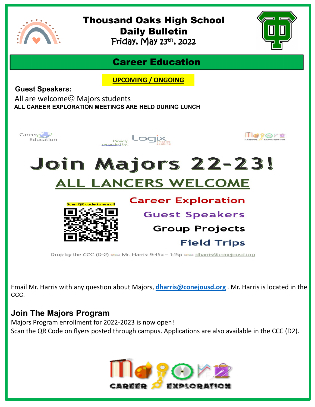

# Thousand Oaks High School Daily Bulletin

Friday, May 13<sup>th</sup>, 2022



#### Career Education

**UPCOMING / ONGOING**

**Guest Speakers:**

All are welcome $\odot$  Majors students **ALL CAREER EXPLORATION MEETINGS ARE HELD DURING LUNCH** 



Email Mr. Harris with any question about Majors, **[dharris@conejousd.org](mailto:dharris@conejousd.org)** . Mr. Harris is located in the CCC.

#### **Join The Majors Program**

Majors Program enrollment for 2022-2023 is now open! Scan the QR Code on flyers posted through campus. Applications are also available in the CCC (D2).